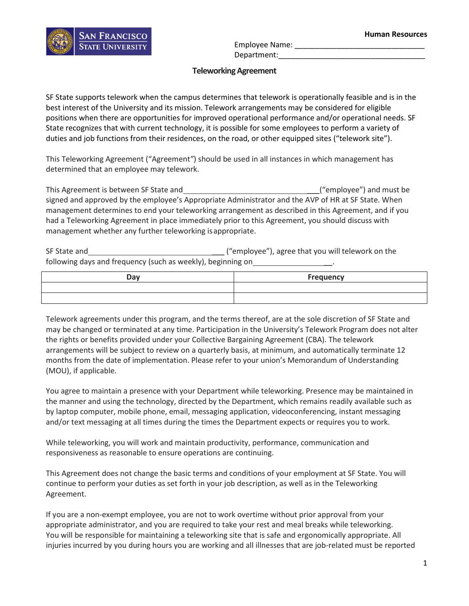

Employee Name: Department:

## **TeleworkingAgreement**

SF State supports telework when the campus determines that telework is operationally feasible and is in the best interest of the University and its mission. Telework arrangements may be considered for eligible positions when there are opportunities for improved operational performance and/or operational needs. SF State recognizes that with current technology, it is possible for some employees to perform a variety of duties and job functions from their residences, on the road, or other equipped sites ("telework site").

This Teleworking Agreement ("Agreement*"*) should be used in all instances in which management has determined that an employee may telework.

This Agreement is between SF State and \_\_\_("employee") and must be signed and approved by the employee's Appropriate Administrator and the AVP of HR at SF State. When management determines to end your teleworking arrangement as described in this Agreement, and if you had a Teleworking Agreement in place immediately prior to this Agreement, you should discuss with management whether any further teleworking isappropriate.

SF State and **SE State and SE State and SE STATE ("employee")**, agree that you will telework on the following days and frequency (such as weekly), beginning on \_\_\_\_\_\_\_\_\_\_\_\_\_\_\_\_\_\_\_\_\_

| Day | <b>Frequency</b> |
|-----|------------------|
|     |                  |
|     |                  |

Telework agreements under this program, and the terms thereof, are at the sole discretion of SF State and may be changed or terminated at any time. Participation in the University's Telework Program does not alter the rights or benefits provided under your Collective Bargaining Agreement (CBA). The telework arrangements will be subject to review on a quarterly basis, at minimum, and automatically terminate 12 months from the date of implementation. Please refer to your union's Memorandum of Understanding (MOU), if applicable.

You agree to maintain a presence with your Department while teleworking. Presence may be maintained in the manner and using the technology, directed by the Department, which remains readily available such as by laptop computer, mobile phone, email, messaging application, videoconferencing, instant messaging and/or text messaging at all times during the times the Department expects or requires you to work.

While teleworking, you will work and maintain productivity, performance, communication and responsiveness as reasonable to ensure operations are continuing.

This Agreement does not change the basic terms and conditions of your employment at SF State. You will continue to perform your duties as set forth in your job description, as well as in the Teleworking Agreement.

If you are a non-exempt employee, you are not to work overtime without prior approval from your appropriate administrator, and you are required to take your rest and meal breaks while teleworking. You will be responsible for maintaining a teleworking site that is safe and ergonomically appropriate. All injuries incurred by you during hours you are working and all illnesses that are job-related must be reported